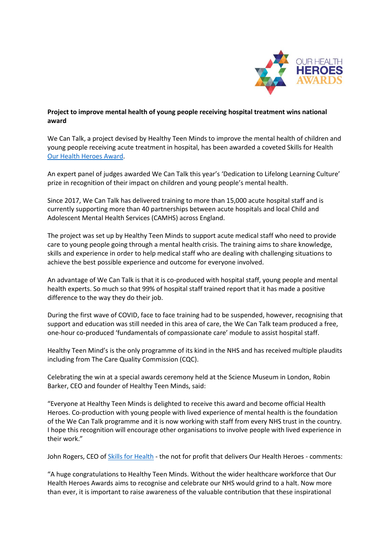

## **Project to improve mental health of young people receiving hospital treatment wins national award**

We Can Talk, a project devised by Healthy Teen Minds to improve the mental health of children and young people receiving acute treatment in hospital, has been awarded a coveted Skills for Health [Our Health Heroes Award.](https://www.skillsforhealth.org.uk/about-us/our-health-heroes-partnership-opportunities/)

An expert panel of judges awarded We Can Talk this year's 'Dedication to Lifelong Learning Culture' prize in recognition of their impact on children and young people's mental health.

Since 2017, We Can Talk has delivered training to more than 15,000 acute hospital staff and is currently supporting more than 40 partnerships between acute hospitals and local Child and Adolescent Mental Health Services (CAMHS) across England.

The project was set up by Healthy Teen Minds to support acute medical staff who need to provide care to young people going through a mental health crisis. The training aims to share knowledge, skills and experience in order to help medical staff who are dealing with challenging situations to achieve the best possible experience and outcome for everyone involved.

An advantage of We Can Talk is that it is co-produced with hospital staff, young people and mental health experts. So much so that 99% of hospital staff trained report that it has made a positive difference to the way they do their job.

During the first wave of COVID, face to face training had to be suspended, however, recognising that support and education was still needed in this area of care, the We Can Talk team produced a free, one-hour co-produced 'fundamentals of compassionate care' module to assist hospital staff.

Healthy Teen Mind's is the only programme of its kind in the NHS and has received multiple plaudits including from The Care Quality Commission (CQC).

Celebrating the win at a special awards ceremony held at the Science Museum in London, Robin Barker, CEO and founder of Healthy Teen Minds, said:

"Everyone at Healthy Teen Minds is delighted to receive this award and become official Health Heroes. Co-production with young people with lived experience of mental health is the foundation of the We Can Talk programme and it is now working with staff from every NHS trust in the country. I hope this recognition will encourage other organisations to involve people with lived experience in their work."

John Rogers, CEO of [Skills for Health](https://www.skillsforhealth.org.uk/) - the not for profit that delivers Our Health Heroes - comments:

"A huge congratulations to Healthy Teen Minds. Without the wider healthcare workforce that Our Health Heroes Awards aims to recognise and celebrate our NHS would grind to a halt. Now more than ever, it is important to raise awareness of the valuable contribution that these inspirational